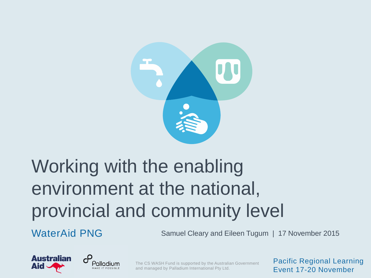

### Working with the enabling environment at the national, provincial and community level

WaterAid PNG Samuel Cleary and Eileen Tugum | 17 November 2015





The CS WASH Fund is supported by the Australian Government and managed by Palladium International Pty Ltd.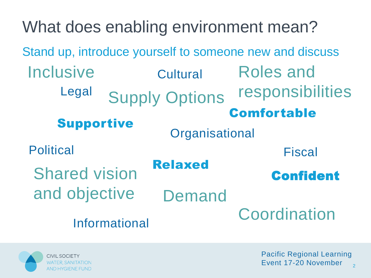What does enabling environment mean? Legal Supply Options **Organisational** Informational **Political Cultural** Demand Fiscal Coordination Roles and responsibilities Shared vision and objective **Inclusive** Comfortable Supportive Relaxed Confident Stand up, introduce yourself to someone new and discuss

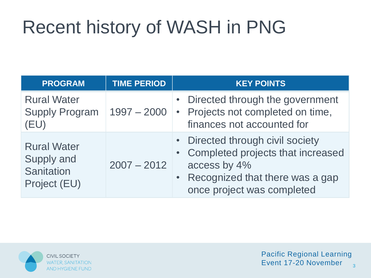### Recent history of WASH in PNG

| <b>PROGRAM</b>                                                 | <b>TIME PERIOD</b> | <b>KEY POINTS</b>                                                                                                                                                       |
|----------------------------------------------------------------|--------------------|-------------------------------------------------------------------------------------------------------------------------------------------------------------------------|
| <b>Rural Water</b><br><b>Supply Program</b><br>(EU)            | $1997 - 2000$      | • Directed through the government<br>• Projects not completed on time,<br>finances not accounted for                                                                    |
| <b>Rural Water</b><br>Supply and<br>Sanitation<br>Project (EU) | $2007 - 2012$      | • Directed through civil society<br>• Completed projects that increased<br>access by 4%<br>Recognized that there was a gap<br>$\bullet$ .<br>once project was completed |

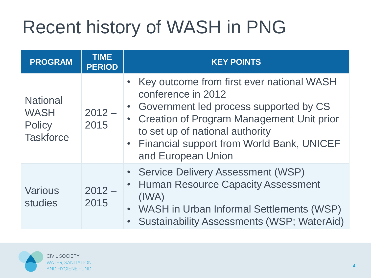### Recent history of WASH in PNG

| <b>PROGRAM</b>                                                      | <b>TIME</b><br><b>PERIOD</b> | <b>KEY POINTS</b>                                                                                                                                                                                                                                                    |
|---------------------------------------------------------------------|------------------------------|----------------------------------------------------------------------------------------------------------------------------------------------------------------------------------------------------------------------------------------------------------------------|
| <b>National</b><br><b>WASH</b><br><b>Policy</b><br><b>Taskforce</b> | $2012 -$<br>2015             | • Key outcome from first ever national WASH<br>conference in 2012<br>• Government led process supported by CS<br>• Creation of Program Management Unit prior<br>to set up of national authority<br>• Financial support from World Bank, UNICEF<br>and European Union |
| <b>Various</b><br>studies                                           | $2012 -$<br>2015             | • Service Delivery Assessment (WSP)<br>• Human Resource Capacity Assessment<br>(IWA)<br>• WASH in Urban Informal Settlements (WSP)<br><b>Sustainability Assessments (WSP; WaterAid)</b>                                                                              |

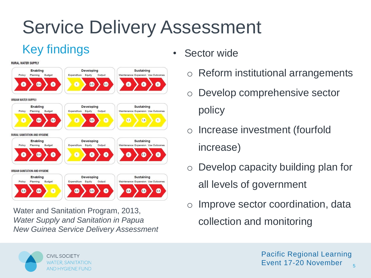### Service Delivery Assessment

### Key findings

#### **RURAL WATER SUPPLY**



Water and Sanitation Program, 2013, *Water Supply and Sanitation in Papua New Guinea Service Delivery Assessment*

- Sector wide
	- o Reform institutional arrangements
	- o Develop comprehensive sector policy
	- o Increase investment (fourfold increase)
	- o Develop capacity building plan for all levels of government
	- o Improve sector coordination, data collection and monitoring

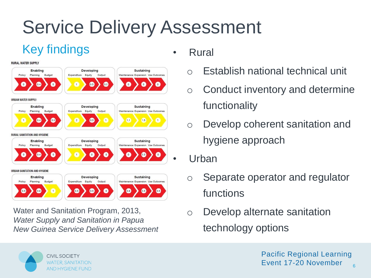### Service Delivery Assessment

### Key findings

#### **RURAL WATER SUPPLY**



Water and Sanitation Program, 2013, *Water Supply and Sanitation in Papua New Guinea Service Delivery Assessment*

- Rural
	- o Establish national technical unit
	- o Conduct inventory and determine functionality
	- o Develop coherent sanitation and hygiene approach
	- Urban
		- o Separate operator and regulator functions
		- o Develop alternate sanitation technology options

**CIVIL SOCIETY WATER, SANITATION AND HYGIENE FUND**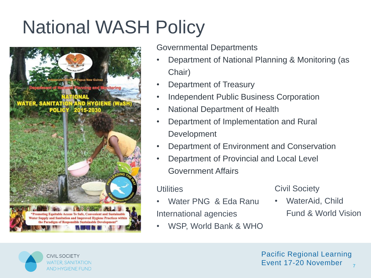

Governmental Departments

- Department of National Planning & Monitoring (as Chair)
- Department of Treasury
- Independent Public Business Corporation
- National Department of Health
- Department of Implementation and Rural **Development**
- Department of Environment and Conservation
- Department of Provincial and Local Level Government Affairs

#### **Utilities**

- Water PNG & Eda Ranu International agencies
- WSP, World Bank & WHO

#### Civil Society

• WaterAid, Child Fund & World Vision

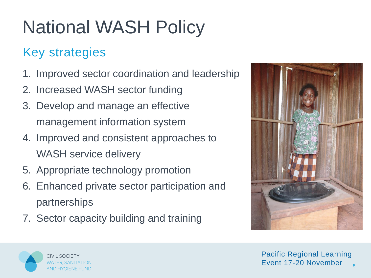### Key strategies

- 1. Improved sector coordination and leadership
- 2. Increased WASH sector funding
- 3. Develop and manage an effective management information system
- 4. Improved and consistent approaches to WASH service delivery
- 5. Appropriate technology promotion
- 6. Enhanced private sector participation and partnerships
- 7. Sector capacity building and training



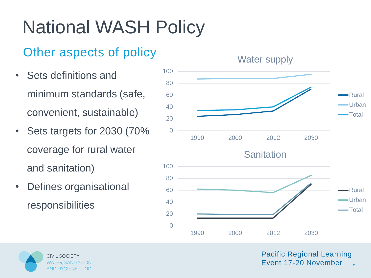### Other aspects of policy

- Sets definitions and minimum standards (safe, convenient, sustainable)
- Sets targets for 2030 (70% coverage for rural water and sanitation)
- Defines organisational responsibilities



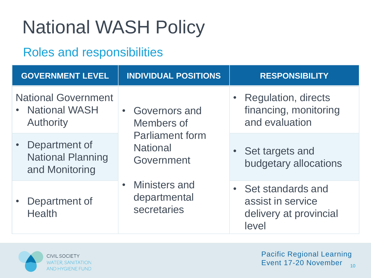#### Roles and responsibilities

| <b>GOVERNMENT LEVEL</b>                                           | <b>INDIVIDUAL POSITIONS</b>                                                                                    | <b>RESPONSIBILITY</b>                                                       |
|-------------------------------------------------------------------|----------------------------------------------------------------------------------------------------------------|-----------------------------------------------------------------------------|
| <b>National Government</b><br>• National WASH<br><b>Authority</b> | <b>Governors and</b><br>$\bullet$<br>Members of                                                                | <b>Regulation, directs</b><br>financing, monitoring<br>and evaluation       |
| Department of<br><b>National Planning</b><br>and Monitoring       | <b>Parliament form</b><br><b>National</b><br>Government<br><b>Ministers and</b><br>departmental<br>secretaries | • Set targets and<br>budgetary allocations                                  |
| Department of<br><b>Health</b>                                    |                                                                                                                | • Set standards and<br>assist in service<br>delivery at provincial<br>level |

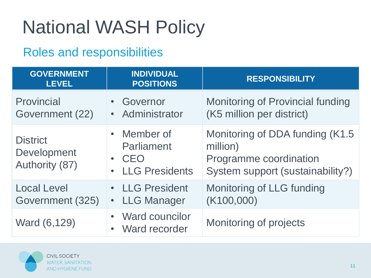#### Roles and responsibilities

| <b>GOVERNMENT</b><br><b>LEVEL</b>                | <b>INDIVIDUAL</b><br><b>POSITIONS</b>                                               | <b>RESPONSIBILITY</b>                                                                                      |
|--------------------------------------------------|-------------------------------------------------------------------------------------|------------------------------------------------------------------------------------------------------------|
| Provincial<br>Government (22)                    | Governor<br>$\bullet$<br>Administrator<br>$\bullet$                                 | <b>Monitoring of Provincial funding</b><br>(K5 million per district)                                       |
| <b>District</b><br>Development<br>Authority (87) | • Member of<br>Parliament<br>CEO<br>$\bullet$<br><b>LLG Presidents</b><br>$\bullet$ | Monitoring of DDA funding (K1.5)<br>million)<br>Programme coordination<br>System support (sustainability?) |
| <b>Local Level</b><br>Government (325)           | • LLG President<br>• LLG Manager                                                    | Monitoring of LLG funding<br>(K100,000)                                                                    |
| Ward (6,129)                                     | <b>Ward councilor</b><br>$\bullet$<br>Ward recorder<br>$\bullet$                    | <b>Monitoring of projects</b>                                                                              |

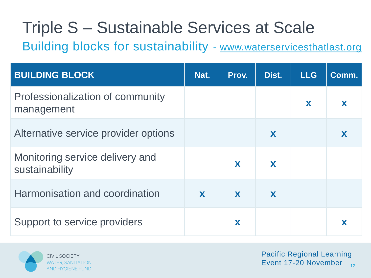### Triple S – Sustainable Services at Scale

Building blocks for sustainability - [www.waterservicesthatlast.org](http://www.waterservicesthatlast.org/)

| <b>BUILDING BLOCK</b>                             | Nat. | Prov. | Dist. | <b>LLG</b> | Comm. |
|---------------------------------------------------|------|-------|-------|------------|-------|
| Professionalization of community<br>management    |      |       |       | X          | X     |
| Alternative service provider options              |      |       | X     |            | X     |
| Monitoring service delivery and<br>sustainability |      | X     | X     |            |       |
| Harmonisation and coordination                    | X    | X     | X     |            |       |
| Support to service providers                      |      | X     |       |            |       |

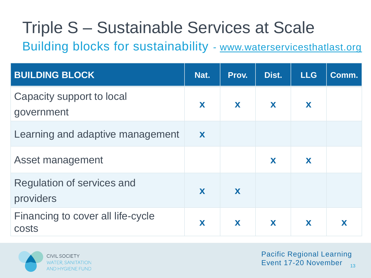### Triple S – Sustainable Services at Scale

Building blocks for sustainability - [www.waterservicesthatlast.org](http://www.waterservicesthatlast.org/)

| <b>BUILDING BLOCK</b>                      | Nat. | Prov. | Dist. | <b>LLG</b> | Comm. |
|--------------------------------------------|------|-------|-------|------------|-------|
| Capacity support to local<br>government    | X    | X     | X     | X          |       |
| Learning and adaptive management           | X    |       |       |            |       |
| Asset management                           |      |       | X     | X          |       |
| Regulation of services and<br>providers    | X    | X     |       |            |       |
| Financing to cover all life-cycle<br>costs | X    | X     | X     | X          |       |

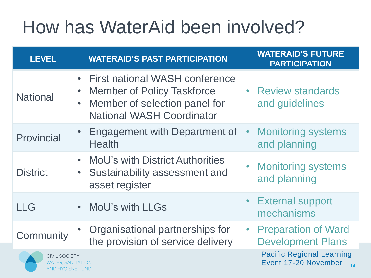### How has WaterAid been involved?

| <b>LEVEL</b>                                                          | <b>WATERAID'S PAST PARTICIPATION</b>                                                                                                                                                   | <b>WATERAID'S FUTURE</b><br><b>PARTICIPATION</b>               |
|-----------------------------------------------------------------------|----------------------------------------------------------------------------------------------------------------------------------------------------------------------------------------|----------------------------------------------------------------|
| <b>National</b>                                                       | <b>First national WASH conference</b><br>$\bullet$<br><b>Member of Policy Taskforce</b><br>$\bullet$<br>Member of selection panel for<br>$\bullet$<br><b>National WASH Coordinator</b> | <b>Review standards</b><br>and guidelines                      |
| Provincial                                                            | <b>Engagement with Department of</b><br>$\bullet$<br><b>Health</b>                                                                                                                     | <b>Monitoring systems</b><br>$\bullet$<br>and planning         |
| <b>District</b>                                                       | <b>MoU's with District Authorities</b><br>$\bullet$<br>Sustainability assessment and<br>$\bullet$<br>asset register                                                                    | <b>Monitoring systems</b><br>and planning                      |
| <b>LLG</b>                                                            | MoU's with LLGs<br>$\bullet$                                                                                                                                                           | <b>External support</b><br>mechanisms                          |
| Community                                                             | Organisational partnerships for<br>the provision of service delivery                                                                                                                   | <b>Preparation of Ward</b><br><b>Development Plans</b>         |
| <b>CIVIL SOCIETY</b><br><b>WATER, SANITATION</b><br>AND HYGIENE EUND. |                                                                                                                                                                                        | <b>Pacific Regional Learning</b><br>Event 17-20 November<br>14 |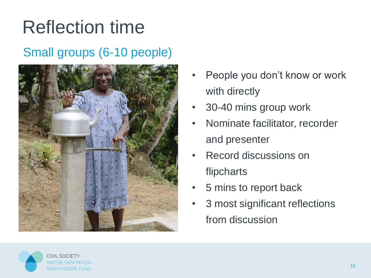### Reflection time

### Small groups (6-10 people)



- People you don't know or work with directly
- 30-40 mins group work
- Nominate facilitator, recorder and presenter
- Record discussions on flipcharts
- 5 mins to report back
- 3 most significant reflections from discussion

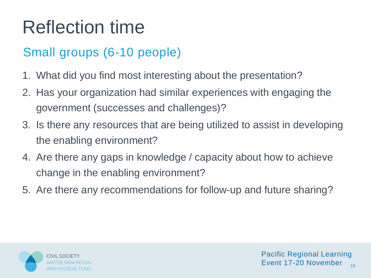### Reflection time

### Small groups (6-10 people)

- 1. What did you find most interesting about the presentation?
- 2. Has your organization had similar experiences with engaging the government (successes and challenges)?
- 3. Is there any resources that are being utilized to assist in developing the enabling environment?
- 4. Are there any gaps in knowledge / capacity about how to achieve change in the enabling environment?
- 5. Are there any recommendations for follow-up and future sharing?